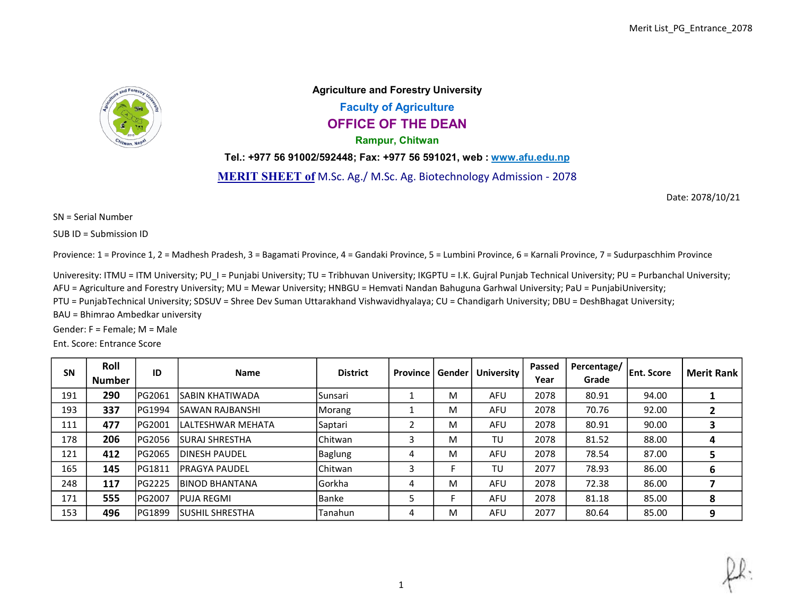

Agriculture and Forestry University Faculty of Agriculture OFFICE OF THE DEAN Rampur, Chitwan

Tel.: +977 56 91002/592448; Fax: +977 56 591021, web : www.afu.edu.np

MERIT SHEET of M.Sc. Ag./ M.Sc. Ag. Biotechnology Admission - 2078

Date: 2078/10/21

SN = Serial Number

SUB ID = Submission ID

Provience: 1 = Province 1, 2 = Madhesh Pradesh, 3 = Bagamati Province, 4 = Gandaki Province, 5 = Lumbini Province, 6 = Karnali Province, 7 = Sudurpaschhim Province

Univeresity: ITMU = ITM University; PU\_I = Punjabi University; TU = Tribhuvan University; IKGPTU = I.K. Gujral Punjab Technical University; PU = Purbanchal University;

AFU = Agriculture and Forestry University; MU = Mewar University; HNBGU = Hemvati Nandan Bahuguna Garhwal University; PaU = PunjabiUniversity;

PTU = PunjabTechnical University; SDSUV = Shree Dev Suman Uttarakhand Vishwavidhyalaya; CU = Chandigarh University; DBU = DeshBhagat University;

BAU = Bhimrao Ambedkar university

Gender: F = Female; M = Male

Ent. Score: Entrance Score

| <b>SN</b> | Roll<br><b>Number</b> | ID            | <b>Name</b>            | <b>District</b> | Province | Gender | <b>University</b> | Passed<br>Year | Percentage/<br>Grade | <b>Ent. Score</b> | <b>Merit Rank</b> |
|-----------|-----------------------|---------------|------------------------|-----------------|----------|--------|-------------------|----------------|----------------------|-------------------|-------------------|
| 191       | 290                   | PG2061        | ISABIN KHATIWADA       | Sunsari         |          | м      | AFU               | 2078           | 80.91                | 94.00             |                   |
| 193       | 337                   | PG1994        | ISAWAN RAJBANSHI       | Morang          |          | M      | AFU               | 2078           | 70.76                | 92.00             | 2                 |
| 111       | 477                   | PG2001        | llalteshwar mehata     | Saptari         |          | M      | AFU               | 2078           | 80.91                | 90.00             | 3                 |
| 178       | 206                   | PG2056        | lSURAJ SHRESTHA        | Chitwan         |          | м      | TU                | 2078           | 81.52                | 88.00             | 4                 |
| 121       | 412                   | PG2065        | IDINESH PAUDEL         | Baglung         |          | M      | AFU               | 2078           | 78.54                | 87.00             | 5                 |
| 165       | 145                   | PG1811        | <b>IPRAGYA PAUDEL</b>  | Chitwan         |          |        | TU                | 2077           | 78.93                | 86.00             | 6                 |
| 248       | 117                   | <b>PG2225</b> | <b>IBINOD BHANTANA</b> | Gorkha          |          | M      | <b>AFU</b>        | 2078           | 72.38                | 86.00             |                   |
| 171       | 555                   | PG2007        | <b>IPUJA REGMI</b>     | Banke           |          |        | AFU               | 2078           | 81.18                | 85.00             | 8                 |
| 153       | 496                   | PG1899        | ISUSHIL SHRESTHA       | Tanahun         | 4        | M      | AFU               | 2077           | 80.64                | 85.00             | 9                 |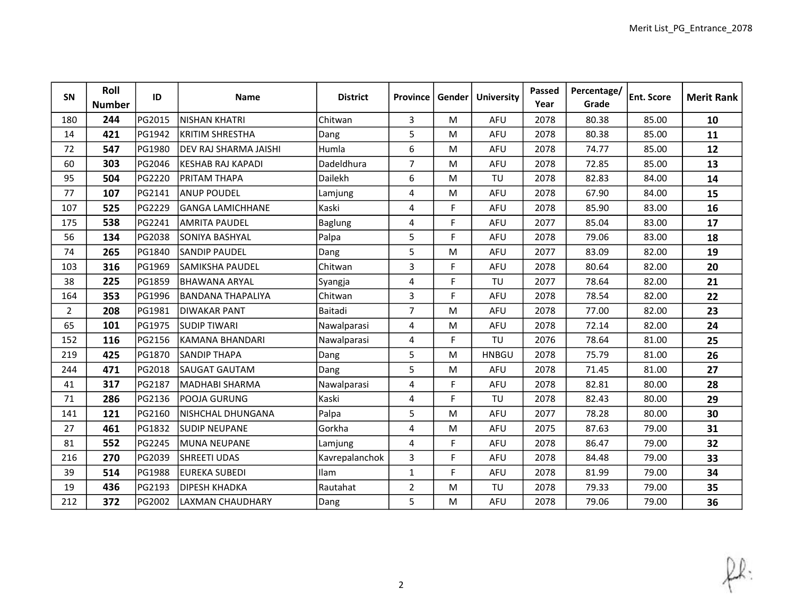| SN             | Roll<br><b>Number</b> | ID     | <b>Name</b>                  | <b>District</b> | Province       | Gender | <b>University</b> | Passed<br>Year | Percentage/<br>Grade | <b>Ent. Score</b> | <b>Merit Rank</b> |
|----------------|-----------------------|--------|------------------------------|-----------------|----------------|--------|-------------------|----------------|----------------------|-------------------|-------------------|
| 180            | 244                   | PG2015 | <b>NISHAN KHATRI</b>         | Chitwan         | $\mathbf{3}$   | M      | <b>AFU</b>        | 2078           | 80.38                | 85.00             | 10                |
| 14             | 421                   | PG1942 | <b>KRITIM SHRESTHA</b>       | Dang            | 5              | M      | <b>AFU</b>        | 2078           | 80.38                | 85.00             | 11                |
| 72             | 547                   | PG1980 | <b>DEV RAJ SHARMA JAISHI</b> | Humla           | 6              | M      | <b>AFU</b>        | 2078           | 74.77                | 85.00             | 12                |
| 60             | 303                   | PG2046 | <b>KESHAB RAJ KAPADI</b>     | Dadeldhura      | $\overline{7}$ | M      | AFU               | 2078           | 72.85                | 85.00             | 13                |
| 95             | 504                   | PG2220 | <b>PRITAM THAPA</b>          | Dailekh         | 6              | M      | TU                | 2078           | 82.83                | 84.00             | 14                |
| 77             | 107                   | PG2141 | <b>ANUP POUDEL</b>           | Lamjung         | 4              | M      | AFU               | 2078           | 67.90                | 84.00             | 15                |
| 107            | 525                   | PG2229 | <b>GANGA LAMICHHANE</b>      | Kaski           | $\overline{4}$ | F      | <b>AFU</b>        | 2078           | 85.90                | 83.00             | 16                |
| 175            | 538                   | PG2241 | <b>AMRITA PAUDEL</b>         | <b>Baglung</b>  | 4              | F.     | AFU               | 2077           | 85.04                | 83.00             | 17                |
| 56             | 134                   | PG2038 | <b>SONIYA BASHYAL</b>        | Palpa           | 5              | F.     | AFU               | 2078           | 79.06                | 83.00             | 18                |
| 74             | 265                   | PG1840 | <b>SANDIP PAUDEL</b>         | Dang            | 5              | M      | <b>AFU</b>        | 2077           | 83.09                | 82.00             | 19                |
| 103            | 316                   | PG1969 | <b>SAMIKSHA PAUDEL</b>       | Chitwan         | 3              | F.     | AFU               | 2078           | 80.64                | 82.00             | 20                |
| 38             | 225                   | PG1859 | BHAWANA ARYAL                | Syangja         | 4              | F.     | TU                | 2077           | 78.64                | 82.00             | 21                |
| 164            | 353                   | PG1996 | <b>BANDANA THAPALIYA</b>     | Chitwan         | 3              | F.     | AFU               | 2078           | 78.54                | 82.00             | 22                |
| $\overline{2}$ | 208                   | PG1981 | <b>DIWAKAR PANT</b>          | Baitadi         | $\overline{7}$ | M      | <b>AFU</b>        | 2078           | 77.00                | 82.00             | 23                |
| 65             | 101                   | PG1975 | <b>SUDIP TIWARI</b>          | Nawalparasi     | 4              | M      | AFU               | 2078           | 72.14                | 82.00             | 24                |
| 152            | 116                   | PG2156 | KAMANA BHANDARI              | Nawalparasi     | 4              | F.     | TU                | 2076           | 78.64                | 81.00             | 25                |
| 219            | 425                   | PG1870 | <b>SANDIP THAPA</b>          | Dang            | 5              | M      | <b>HNBGU</b>      | 2078           | 75.79                | 81.00             | 26                |
| 244            | 471                   | PG2018 | <b>SAUGAT GAUTAM</b>         | Dang            | 5              | M      | AFU               | 2078           | 71.45                | 81.00             | 27                |
| 41             | 317                   | PG2187 | MADHABI SHARMA               | Nawalparasi     | 4              | F.     | AFU               | 2078           | 82.81                | 80.00             | 28                |
| 71             | 286                   | PG2136 | POOJA GURUNG                 | Kaski           | $\overline{4}$ | F.     | TU                | 2078           | 82.43                | 80.00             | 29                |
| 141            | 121                   | PG2160 | NISHCHAL DHUNGANA            | Palpa           | 5              | M      | AFU               | 2077           | 78.28                | 80.00             | 30                |
| 27             | 461                   | PG1832 | <b>SUDIP NEUPANE</b>         | Gorkha          | 4              | M      | <b>AFU</b>        | 2075           | 87.63                | 79.00             | 31                |
| 81             | 552                   | PG2245 | MUNA NEUPANE                 | Lamjung         | 4              | F.     | AFU               | 2078           | 86.47                | 79.00             | 32                |
| 216            | 270                   | PG2039 | <b>SHREETI UDAS</b>          | Kavrepalanchok  | 3              | F.     | AFU               | 2078           | 84.48                | 79.00             | 33                |
| 39             | 514                   | PG1988 | <b>EUREKA SUBEDI</b>         | <b>Ilam</b>     | $\mathbf{1}$   | F.     | <b>AFU</b>        | 2078           | 81.99                | 79.00             | 34                |
| 19             | 436                   | PG2193 | <b>DIPESH KHADKA</b>         | Rautahat        | $\overline{2}$ | M      | TU                | 2078           | 79.33                | 79.00             | 35                |
| 212            | 372                   | PG2002 | LAXMAN CHAUDHARY             | Dang            | 5              | M      | AFU               | 2078           | 79.06                | 79.00             | 36                |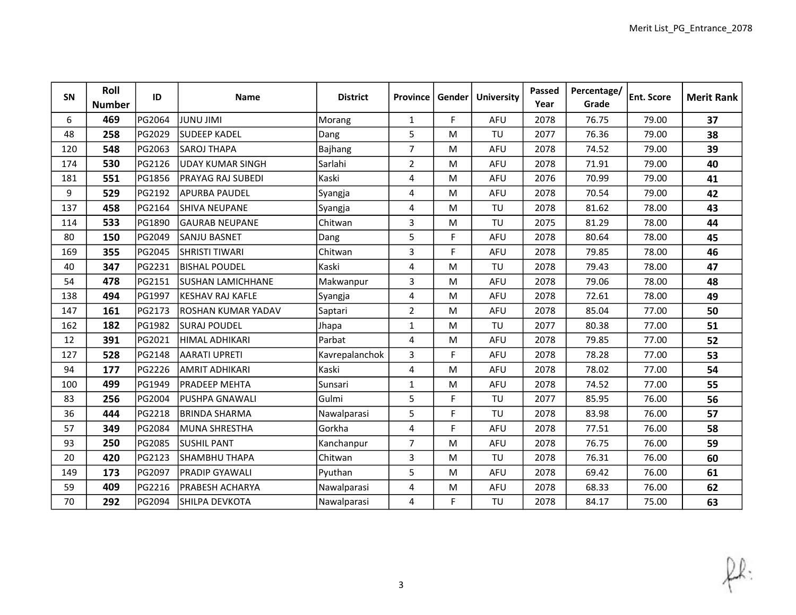| SN  | Roll<br><b>Number</b> | ID     | <b>Name</b>               | <b>District</b> | <b>Province</b> | Gender | <b>University</b> | Passed<br>Year | Percentage/<br>Grade | <b>Ent. Score</b> | <b>Merit Rank</b> |
|-----|-----------------------|--------|---------------------------|-----------------|-----------------|--------|-------------------|----------------|----------------------|-------------------|-------------------|
| 6   | 469                   | PG2064 | <b>IMIL UNUL</b>          | Morang          | $\mathbf{1}$    | F.     | <b>AFU</b>        | 2078           | 76.75                | 79.00             | 37                |
| 48  | 258                   | PG2029 | <b>SUDEEP KADEL</b>       | Dang            | 5               | M      | TU                | 2077           | 76.36                | 79.00             | 38                |
| 120 | 548                   | PG2063 | <b>SAROJ THAPA</b>        | <b>Bajhang</b>  | $\overline{7}$  | M      | AFU               | 2078           | 74.52                | 79.00             | 39                |
| 174 | 530                   | PG2126 | UDAY KUMAR SINGH          | Sarlahi         | $\overline{2}$  | M      | AFU               | 2078           | 71.91                | 79.00             | 40                |
| 181 | 551                   | PG1856 | <b>PRAYAG RAJ SUBEDI</b>  | Kaski           | 4               | M      | AFU               | 2076           | 70.99                | 79.00             | 41                |
| 9   | 529                   | PG2192 | <b>APURBA PAUDEL</b>      | Syangja         | 4               | M      | AFU               | 2078           | 70.54                | 79.00             | 42                |
| 137 | 458                   | PG2164 | <b>SHIVA NEUPANE</b>      | Syangja         | $\overline{4}$  | M      | TU                | 2078           | 81.62                | 78.00             | 43                |
| 114 | 533                   | PG1890 | <b>GAURAB NEUPANE</b>     | Chitwan         | 3               | M      | TU                | 2075           | 81.29                | 78.00             | 44                |
| 80  | 150                   | PG2049 | <b>SANJU BASNET</b>       | Dang            | 5               | F.     | <b>AFU</b>        | 2078           | 80.64                | 78.00             | 45                |
| 169 | 355                   | PG2045 | <b>SHRISTI TIWARI</b>     | Chitwan         | 3               | F.     | <b>AFU</b>        | 2078           | 79.85                | 78.00             | 46                |
| 40  | 347                   | PG2231 | IBISHAL POUDEL            | Kaski           | 4               | M      | TU                | 2078           | 79.43                | 78.00             | 47                |
| 54  | 478                   | PG2151 | SUSHAN LAMICHHANE         | Makwanpur       | 3               | M      | AFU               | 2078           | 79.06                | 78.00             | 48                |
| 138 | 494                   | PG1997 | <b>KESHAV RAJ KAFLE</b>   | Syangja         | 4               | M      | <b>AFU</b>        | 2078           | 72.61                | 78.00             | 49                |
| 147 | 161                   | PG2173 | <b>ROSHAN KUMAR YADAV</b> | Saptari         | $\overline{2}$  | M      | AFU               | 2078           | 85.04                | 77.00             | 50                |
| 162 | 182                   | PG1982 | <b>SURAJ POUDEL</b>       | Jhapa           | $\mathbf{1}$    | M      | TU                | 2077           | 80.38                | 77.00             | 51                |
| 12  | 391                   | PG2021 | HIMAL ADHIKARI            | Parbat          | 4               | M      | <b>AFU</b>        | 2078           | 79.85                | 77.00             | 52                |
| 127 | 528                   | PG2148 | <b>AARATI UPRETI</b>      | Kavrepalanchok  | 3               | F.     | <b>AFU</b>        | 2078           | 78.28                | 77.00             | 53                |
| 94  | 177                   | PG2226 | <b>AMRIT ADHIKARI</b>     | Kaski           | 4               | M      | AFU               | 2078           | 78.02                | 77.00             | 54                |
| 100 | 499                   | PG1949 | IPRADEEP MEHTA            | Sunsari         | $\mathbf{1}$    | M      | AFU               | 2078           | 74.52                | 77.00             | 55                |
| 83  | 256                   | PG2004 | <b>PUSHPA GNAWALI</b>     | Gulmi           | 5               | F.     | TU                | 2077           | 85.95                | 76.00             | 56                |
| 36  | 444                   | PG2218 | <b>BRINDA SHARMA</b>      | Nawalparasi     | 5               | F.     | TU                | 2078           | 83.98                | 76.00             | 57                |
| 57  | 349                   | PG2084 | MUNA SHRESTHA             | Gorkha          | 4               | F.     | <b>AFU</b>        | 2078           | 77.51                | 76.00             | 58                |
| 93  | 250                   | PG2085 | <b>SUSHIL PANT</b>        | Kanchanpur      | $\overline{7}$  | M      | AFU               | 2078           | 76.75                | 76.00             | 59                |
| 20  | 420                   | PG2123 | <b>SHAMBHU THAPA</b>      | Chitwan         | 3               | M      | TU                | 2078           | 76.31                | 76.00             | 60                |
| 149 | 173                   | PG2097 | <b>PRADIP GYAWALI</b>     | Pyuthan         | 5               | M      | AFU               | 2078           | 69.42                | 76.00             | 61                |
| 59  | 409                   | PG2216 | <b>PRABESH ACHARYA</b>    | Nawalparasi     | 4               | M      | AFU               | 2078           | 68.33                | 76.00             | 62                |
| 70  | 292                   | PG2094 | SHILPA DEVKOTA            | Nawalparasi     | 4               | F.     | TU                | 2078           | 84.17                | 75.00             | 63                |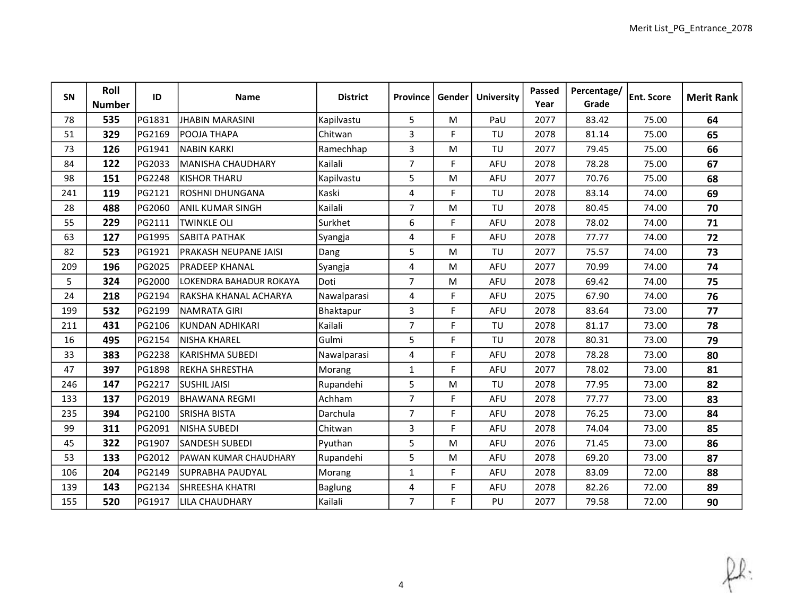| SN  | Roll<br><b>Number</b> | ID     | <b>Name</b>                  | <b>District</b> | Province       | Gender | <b>University</b> | Passed<br>Year | Percentage/<br>Grade | <b>Ent. Score</b> | <b>Merit Rank</b> |
|-----|-----------------------|--------|------------------------------|-----------------|----------------|--------|-------------------|----------------|----------------------|-------------------|-------------------|
| 78  | 535                   | PG1831 | <b>JHABIN MARASINI</b>       | Kapilvastu      | 5              | M      | PaU               | 2077           | 83.42                | 75.00             | 64                |
| 51  | 329                   | PG2169 | POOJA THAPA                  | Chitwan         | 3              | F.     | TU                | 2078           | 81.14                | 75.00             | 65                |
| 73  | 126                   | PG1941 | <b>NABIN KARKI</b>           | Ramechhap       | 3              | M      | TU                | 2077           | 79.45                | 75.00             | 66                |
| 84  | 122                   | PG2033 | MANISHA CHAUDHARY            | Kailali         | $\overline{7}$ | F.     | AFU               | 2078           | 78.28                | 75.00             | 67                |
| 98  | 151                   | PG2248 | <b>KISHOR THARU</b>          | Kapilvastu      | 5              | M      | <b>AFU</b>        | 2077           | 70.76                | 75.00             | 68                |
| 241 | 119                   | PG2121 | <b>ROSHNI DHUNGANA</b>       | Kaski           | 4              | F      | TU                | 2078           | 83.14                | 74.00             | 69                |
| 28  | 488                   | PG2060 | <b>ANIL KUMAR SINGH</b>      | Kailali         | $\overline{7}$ | M      | TU                | 2078           | 80.45                | 74.00             | 70                |
| 55  | 229                   | PG2111 | <b>TWINKLE OLI</b>           | Surkhet         | 6              | F      | <b>AFU</b>        | 2078           | 78.02                | 74.00             | 71                |
| 63  | 127                   | PG1995 | <b>SABITA PATHAK</b>         | Syangja         | 4              | F.     | <b>AFU</b>        | 2078           | 77.77                | 74.00             | 72                |
| 82  | 523                   | PG1921 | <b>PRAKASH NEUPANE JAISI</b> | Dang            | 5              | M      | TU                | 2077           | 75.57                | 74.00             | 73                |
| 209 | 196                   | PG2025 | <b>PRADEEP KHANAL</b>        | Syangja         | 4              | M      | AFU               | 2077           | 70.99                | 74.00             | 74                |
| 5   | 324                   | PG2000 | LOKENDRA BAHADUR ROKAYA      | Doti            | $\overline{7}$ | M      | <b>AFU</b>        | 2078           | 69.42                | 74.00             | 75                |
| 24  | 218                   | PG2194 | RAKSHA KHANAL ACHARYA        | Nawalparasi     | 4              | F      | <b>AFU</b>        | 2075           | 67.90                | 74.00             | 76                |
| 199 | 532                   | PG2199 | <b>NAMRATA GIRI</b>          | Bhaktapur       | 3              | F      | AFU               | 2078           | 83.64                | 73.00             | 77                |
| 211 | 431                   | PG2106 | KUNDAN ADHIKARI              | Kailali         | $\overline{7}$ | F.     | TU                | 2078           | 81.17                | 73.00             | 78                |
| 16  | 495                   | PG2154 | <b>NISHA KHAREL</b>          | Gulmi           | 5              | F.     | TU                | 2078           | 80.31                | 73.00             | 79                |
| 33  | 383                   | PG2238 | <b>KARISHMA SUBEDI</b>       | Nawalparasi     | 4              | F.     | <b>AFU</b>        | 2078           | 78.28                | 73.00             | 80                |
| 47  | 397                   | PG1898 | <b>REKHA SHRESTHA</b>        | Morang          | $\mathbf{1}$   | F.     | <b>AFU</b>        | 2077           | 78.02                | 73.00             | 81                |
| 246 | 147                   | PG2217 | SUSHIL JAISI                 | Rupandehi       | 5              | M      | TU                | 2078           | 77.95                | 73.00             | 82                |
| 133 | 137                   | PG2019 | <b>BHAWANA REGMI</b>         | Achham          | $\overline{7}$ | F      | AFU               | 2078           | 77.77                | 73.00             | 83                |
| 235 | 394                   | PG2100 | <b>SRISHA BISTA</b>          | Darchula        | $\overline{7}$ | F      | <b>AFU</b>        | 2078           | 76.25                | 73.00             | 84                |
| 99  | 311                   | PG2091 | NISHA SUBEDI                 | Chitwan         | 3              | F.     | <b>AFU</b>        | 2078           | 74.04                | 73.00             | 85                |
| 45  | 322                   | PG1907 | <b>SANDESH SUBEDI</b>        | Pyuthan         | 5              | M      | AFU               | 2076           | 71.45                | 73.00             | 86                |
| 53  | 133                   | PG2012 | IPAWAN KUMAR CHAUDHARY       | Rupandehi       | 5              | M      | AFU               | 2078           | 69.20                | 73.00             | 87                |
| 106 | 204                   | PG2149 | <b>SUPRABHA PAUDYAL</b>      | Morang          | $\mathbf{1}$   | F.     | <b>AFU</b>        | 2078           | 83.09                | 72.00             | 88                |
| 139 | 143                   | PG2134 | <b>SHREESHA KHATRI</b>       | <b>Baglung</b>  | 4              | F      | AFU               | 2078           | 82.26                | 72.00             | 89                |
| 155 | 520                   | PG1917 | LILA CHAUDHARY               | Kailali         | $\overline{7}$ | F.     | PU                | 2077           | 79.58                | 72.00             | 90                |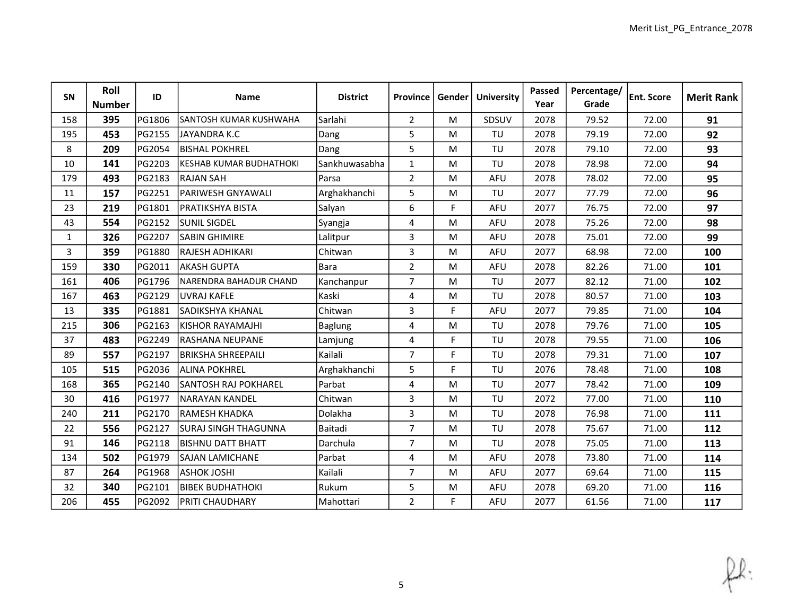| SN             | Roll<br><b>Number</b> | ID     | <b>Name</b>                 | <b>District</b> | <b>Province</b> | Gender | <b>University</b> | Passed<br>Year | Percentage/<br>Grade | <b>Ent. Score</b> | <b>Merit Rank</b> |
|----------------|-----------------------|--------|-----------------------------|-----------------|-----------------|--------|-------------------|----------------|----------------------|-------------------|-------------------|
| 158            | 395                   | PG1806 | SANTOSH KUMAR KUSHWAHA      | Sarlahi         | $2^{\circ}$     | M      | SDSUV             | 2078           | 79.52                | 72.00             | 91                |
| 195            | 453                   | PG2155 | JAYANDRA K.C                | Dang            | 5               | M      | TU                | 2078           | 79.19                | 72.00             | 92                |
| 8              | 209                   | PG2054 | <b>BISHAL POKHREL</b>       | Dang            | 5               | M      | TU                | 2078           | 79.10                | 72.00             | 93                |
| 10             | 141                   | PG2203 | KESHAB KUMAR BUDHATHOKI     | Sankhuwasabha   | $\mathbf{1}$    | M      | TU                | 2078           | 78.98                | 72.00             | 94                |
| 179            | 493                   | PG2183 | RAJAN SAH                   | Parsa           | $\overline{2}$  | M      | AFU               | 2078           | 78.02                | 72.00             | 95                |
| 11             | 157                   | PG2251 | PARIWESH GNYAWALI           | Arghakhanchi    | 5               | M      | TU                | 2077           | 77.79                | 72.00             | 96                |
| 23             | 219                   | PG1801 | PRATIKSHYA BISTA            | Salyan          | 6               | F.     | AFU               | 2077           | 76.75                | 72.00             | 97                |
| 43             | 554                   | PG2152 | <b>SUNIL SIGDEL</b>         | Syangja         | 4               | M      | <b>AFU</b>        | 2078           | 75.26                | 72.00             | 98                |
| $\mathbf{1}$   | 326                   | PG2207 | <b>SABIN GHIMIRE</b>        | Lalitpur        | 3               | M      | <b>AFU</b>        | 2078           | 75.01                | 72.00             | 99                |
| $\overline{3}$ | 359                   | PG1880 | RAJESH ADHIKARI             | Chitwan         | 3               | M      | AFU               | 2077           | 68.98                | 72.00             | 100               |
| 159            | 330                   | PG2011 | <b>AKASH GUPTA</b>          | Bara            | $\overline{2}$  | M      | AFU               | 2078           | 82.26                | 71.00             | 101               |
| 161            | 406                   | PG1796 | NARENDRA BAHADUR CHAND      | Kanchanpur      | $\overline{7}$  | M      | TU                | 2077           | 82.12                | 71.00             | 102               |
| 167            | 463                   | PG2129 | <b>UVRAJ KAFLE</b>          | Kaski           | 4               | M      | TU                | 2078           | 80.57                | 71.00             | 103               |
| 13             | 335                   | PG1881 | <b>SADIKSHYA KHANAL</b>     | Chitwan         | 3               | F      | <b>AFU</b>        | 2077           | 79.85                | 71.00             | 104               |
| 215            | 306                   | PG2163 | KISHOR RAYAMAJHI            | <b>Baglung</b>  | 4               | M      | TU                | 2078           | 79.76                | 71.00             | 105               |
| 37             | 483                   | PG2249 | RASHANA NEUPANE             | Lamjung         | 4               | F.     | TU                | 2078           | 79.55                | 71.00             | 106               |
| 89             | 557                   | PG2197 | <b>BRIKSHA SHREEPAILI</b>   | Kailali         | $\overline{7}$  | F.     | TU                | 2078           | 79.31                | 71.00             | 107               |
| 105            | 515                   | PG2036 | <b>ALINA POKHREL</b>        | Arghakhanchi    | 5               | F      | TU                | 2076           | 78.48                | 71.00             | 108               |
| 168            | 365                   | PG2140 | <b>SANTOSH RAJ POKHAREL</b> | Parbat          | 4               | M      | TU                | 2077           | 78.42                | 71.00             | 109               |
| 30             | 416                   | PG1977 | <b>NARAYAN KANDEL</b>       | Chitwan         | 3               | M      | TU                | 2072           | 77.00                | 71.00             | 110               |
| 240            | 211                   | PG2170 | <b>RAMESH KHADKA</b>        | Dolakha         | 3               | M      | TU                | 2078           | 76.98                | 71.00             | 111               |
| 22             | 556                   | PG2127 | <b>SURAJ SINGH THAGUNNA</b> | Baitadi         | $\overline{7}$  | M      | TU                | 2078           | 75.67                | 71.00             | 112               |
| 91             | 146                   | PG2118 | IBISHNU DATT BHATT          | Darchula        | $\overline{7}$  | M      | TU                | 2078           | 75.05                | 71.00             | 113               |
| 134            | 502                   | PG1979 | <b>SAJAN LAMICHANE</b>      | Parbat          | 4               | M      | AFU               | 2078           | 73.80                | 71.00             | 114               |
| 87             | 264                   | PG1968 | <b>ASHOK JOSHI</b>          | Kailali         | $\overline{7}$  | M      | AFU               | 2077           | 69.64                | 71.00             | 115               |
| 32             | 340                   | PG2101 | <b>BIBEK BUDHATHOKI</b>     | Rukum           | 5               | M      | <b>AFU</b>        | 2078           | 69.20                | 71.00             | 116               |
| 206            | 455                   | PG2092 | <b>PRITI CHAUDHARY</b>      | Mahottari       | $\overline{2}$  | F      | AFU               | 2077           | 61.56                | 71.00             | 117               |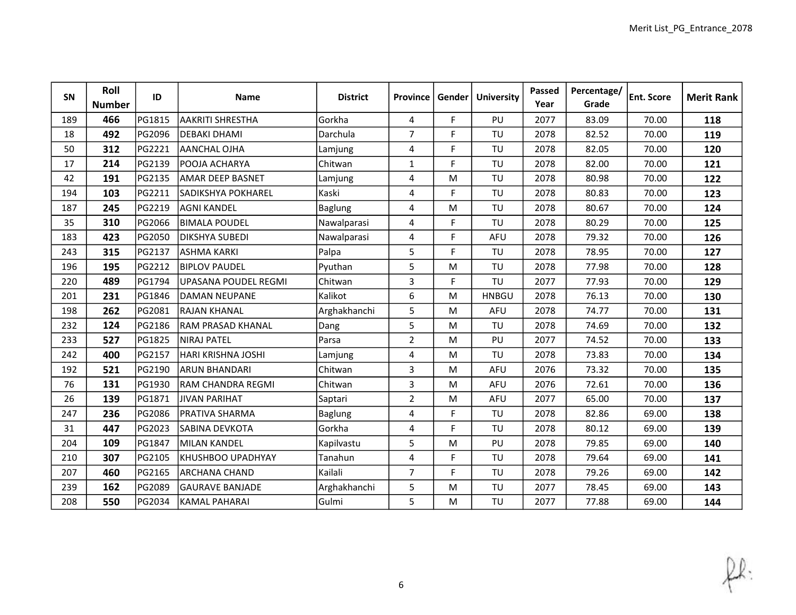| SN  | Roll<br><b>Number</b> | ID     | <b>Name</b>                 | <b>District</b> | Province       | Gender | <b>University</b> | Passed<br>Year | Percentage/<br>Grade | <b>Ent. Score</b> | <b>Merit Rank</b> |
|-----|-----------------------|--------|-----------------------------|-----------------|----------------|--------|-------------------|----------------|----------------------|-------------------|-------------------|
| 189 | 466                   | PG1815 | <b>AAKRITI SHRESTHA</b>     | Gorkha          | 4              | F.     | PU                | 2077           | 83.09                | 70.00             | 118               |
| 18  | 492                   | PG2096 | <b>DEBAKI DHAMI</b>         | Darchula        | $\overline{7}$ | F      | TU                | 2078           | 82.52                | 70.00             | 119               |
| 50  | 312                   | PG2221 | <b>AANCHAL OJHA</b>         | Lamjung         | 4              | F.     | TU                | 2078           | 82.05                | 70.00             | 120               |
| 17  | 214                   | PG2139 | POOJA ACHARYA               | Chitwan         | $\mathbf{1}$   | F.     | TU                | 2078           | 82.00                | 70.00             | 121               |
| 42  | 191                   | PG2135 | AMAR DEEP BASNET            | Lamjung         | 4              | M      | TU                | 2078           | 80.98                | 70.00             | 122               |
| 194 | 103                   | PG2211 | <b>SADIKSHYA POKHAREL</b>   | Kaski           | 4              | F      | TU                | 2078           | 80.83                | 70.00             | 123               |
| 187 | 245                   | PG2219 | AGNI KANDEL                 | <b>Baglung</b>  | 4              | M      | TU                | 2078           | 80.67                | 70.00             | 124               |
| 35  | 310                   | PG2066 | <b>BIMALA POUDEL</b>        | Nawalparasi     | 4              | F.     | TU                | 2078           | 80.29                | 70.00             | 125               |
| 183 | 423                   | PG2050 | <b>DIKSHYA SUBEDI</b>       | Nawalparasi     | 4              | F.     | AFU               | 2078           | 79.32                | 70.00             | 126               |
| 243 | 315                   | PG2137 | <b>ASHMA KARKI</b>          | Palpa           | 5              | F.     | TU                | 2078           | 78.95                | 70.00             | 127               |
| 196 | 195                   | PG2212 | <b>BIPLOV PAUDEL</b>        | Pyuthan         | 5              | M      | TU                | 2078           | 77.98                | 70.00             | 128               |
| 220 | 489                   | PG1794 | <b>UPASANA POUDEL REGMI</b> | Chitwan         | 3              | F.     | TU                | 2077           | 77.93                | 70.00             | 129               |
| 201 | 231                   | PG1846 | DAMAN NEUPANE               | Kalikot         | 6              | M      | <b>HNBGU</b>      | 2078           | 76.13                | 70.00             | 130               |
| 198 | 262                   | PG2081 | <b>RAJAN KHANAL</b>         | Arghakhanchi    | 5              | M      | AFU               | 2078           | 74.77                | 70.00             | 131               |
| 232 | 124                   | PG2186 | lRAM PRASAD KHANAL          | Dang            | 5              | M      | TU                | 2078           | 74.69                | 70.00             | 132               |
| 233 | 527                   | PG1825 | <b>NIRAJ PATEL</b>          | Parsa           | $\overline{2}$ | M      | PU                | 2077           | 74.52                | 70.00             | 133               |
| 242 | 400                   | PG2157 | HARI KRISHNA JOSHI          | Lamjung         | 4              | M      | TU                | 2078           | 73.83                | 70.00             | 134               |
| 192 | 521                   | PG2190 | <b>ARUN BHANDARI</b>        | Chitwan         | 3              | M      | AFU               | 2076           | 73.32                | 70.00             | 135               |
| 76  | 131                   | PG1930 | lram CHANDRA REGMI          | Chitwan         | 3              | M      | <b>AFU</b>        | 2076           | 72.61                | 70.00             | 136               |
| 26  | 139                   | PG1871 | <b>JIVAN PARIHAT</b>        | Saptari         | $\overline{2}$ | M      | AFU               | 2077           | 65.00                | 70.00             | 137               |
| 247 | 236                   | PG2086 | <b>PRATIVA SHARMA</b>       | Baglung         | 4              | F.     | TU                | 2078           | 82.86                | 69.00             | 138               |
| 31  | 447                   | PG2023 | <b>SABINA DEVKOTA</b>       | Gorkha          | 4              | F.     | TU                | 2078           | 80.12                | 69.00             | 139               |
| 204 | 109                   | PG1847 | <b>MILAN KANDEL</b>         | Kapilvastu      | 5              | M      | PU                | 2078           | 79.85                | 69.00             | 140               |
| 210 | 307                   | PG2105 | KHUSHBOO UPADHYAY           | Tanahun         | 4              | F.     | TU                | 2078           | 79.64                | 69.00             | 141               |
| 207 | 460                   | PG2165 | <b>ARCHANA CHAND</b>        | Kailali         | $\overline{7}$ | F.     | TU                | 2078           | 79.26                | 69.00             | 142               |
| 239 | 162                   | PG2089 | <b>GAURAVE BANJADE</b>      | Arghakhanchi    | 5              | M      | TU                | 2077           | 78.45                | 69.00             | 143               |
| 208 | 550                   | PG2034 | KAMAL PAHARAI               | Gulmi           | 5              | M      | TU                | 2077           | 77.88                | 69.00             | 144               |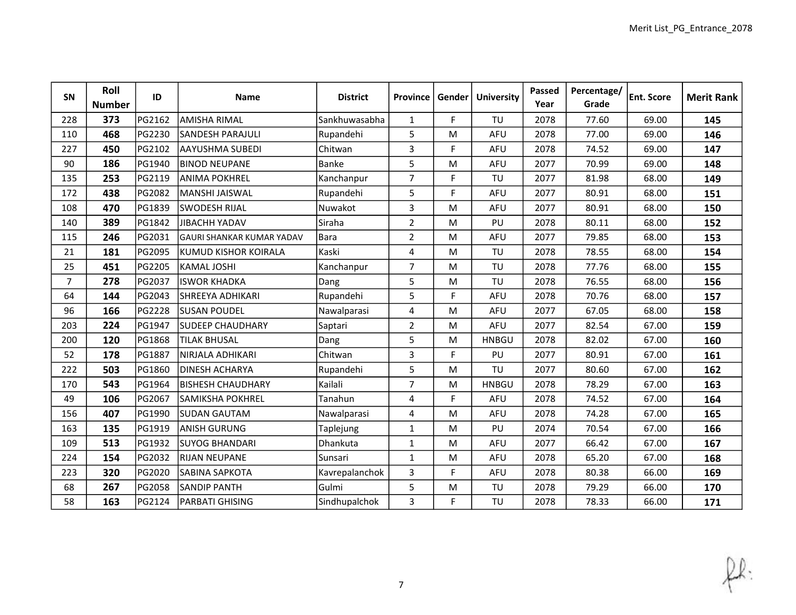| SN             | Roll<br><b>Number</b> | ID     | Name                             | <b>District</b> | Province       | Gender | <b>University</b> | Passed<br>Year | Percentage/<br>Grade | <b>Ent. Score</b> | <b>Merit Rank</b> |
|----------------|-----------------------|--------|----------------------------------|-----------------|----------------|--------|-------------------|----------------|----------------------|-------------------|-------------------|
| 228            | 373                   | PG2162 | <b>AMISHA RIMAL</b>              | Sankhuwasabha   | $\mathbf{1}$   | F.     | TU                | 2078           | 77.60                | 69.00             | 145               |
| 110            | 468                   | PG2230 | <b>SANDESH PARAJULI</b>          | Rupandehi       | 5              | M      | AFU               | 2078           | 77.00                | 69.00             | 146               |
| 227            | 450                   | PG2102 | <b>AAYUSHMA SUBEDI</b>           | Chitwan         | $\overline{3}$ | F.     | AFU               | 2078           | 74.52                | 69.00             | 147               |
| 90             | 186                   | PG1940 | <b>BINOD NEUPANE</b>             | Banke           | 5              | M      | AFU               | 2077           | 70.99                | 69.00             | 148               |
| 135            | 253                   | PG2119 | ANIMA POKHREL                    | Kanchanpur      | $\overline{7}$ | F.     | TU                | 2077           | 81.98                | 68.00             | 149               |
| 172            | 438                   | PG2082 | MANSHI JAISWAL                   | Rupandehi       | 5              | F      | <b>AFU</b>        | 2077           | 80.91                | 68.00             | 151               |
| 108            | 470                   | PG1839 | SWODESH RIJAL                    | Nuwakot         | 3              | M      | AFU               | 2077           | 80.91                | 68.00             | 150               |
| 140            | 389                   | PG1842 | <b>JIBACHH YADAV</b>             | Siraha          | $\overline{2}$ | M      | PU                | 2078           | 80.11                | 68.00             | 152               |
| 115            | 246                   | PG2031 | <b>GAURI SHANKAR KUMAR YADAV</b> | <b>Bara</b>     | $\overline{2}$ | M      | AFU               | 2077           | 79.85                | 68.00             | 153               |
| 21             | 181                   | PG2095 | KUMUD KISHOR KOIRALA             | Kaski           | 4              | M      | TU                | 2078           | 78.55                | 68.00             | 154               |
| 25             | 451                   | PG2205 | <b>KAMAL JOSHI</b>               | Kanchanpur      | $\overline{7}$ | M      | TU                | 2078           | 77.76                | 68.00             | 155               |
| $\overline{7}$ | 278                   | PG2037 | ISWOR KHADKA                     | Dang            | 5              | M      | TU                | 2078           | 76.55                | 68.00             | 156               |
| 64             | 144                   | PG2043 | SHREEYA ADHIKARI                 | Rupandehi       | 5              | F      | <b>AFU</b>        | 2078           | 70.76                | 68.00             | 157               |
| 96             | 166                   | PG2228 | SUSAN POUDEL                     | Nawalparasi     | 4              | M      | AFU               | 2077           | 67.05                | 68.00             | 158               |
| 203            | 224                   | PG1947 | <b>SUDEEP CHAUDHARY</b>          | Saptari         | $\overline{2}$ | M      | AFU               | 2077           | 82.54                | 67.00             | 159               |
| 200            | 120                   | PG1868 | <b>TILAK BHUSAL</b>              | Dang            | 5              | M      | <b>HNBGU</b>      | 2078           | 82.02                | 67.00             | 160               |
| 52             | 178                   | PG1887 | NIRJALA ADHIKARI                 | Chitwan         | 3              | F.     | PU                | 2077           | 80.91                | 67.00             | 161               |
| 222            | 503                   | PG1860 | <b>DINESH ACHARYA</b>            | Rupandehi       | 5              | M      | TU                | 2077           | 80.60                | 67.00             | 162               |
| 170            | 543                   | PG1964 | IBISHESH CHAUDHARY               | Kailali         | $\overline{7}$ | M      | <b>HNBGU</b>      | 2078           | 78.29                | 67.00             | 163               |
| 49             | 106                   | PG2067 | SAMIKSHA POKHREL                 | Tanahun         | 4              | F.     | AFU               | 2078           | 74.52                | 67.00             | 164               |
| 156            | 407                   | PG1990 | <b>SUDAN GAUTAM</b>              | Nawalparasi     | 4              | M      | AFU               | 2078           | 74.28                | 67.00             | 165               |
| 163            | 135                   | PG1919 | <b>ANISH GURUNG</b>              | Taplejung       | $\mathbf{1}$   | M      | PU                | 2074           | 70.54                | 67.00             | 166               |
| 109            | 513                   | PG1932 | SUYOG BHANDARI                   | Dhankuta        | $\mathbf{1}$   | M      | AFU               | 2077           | 66.42                | 67.00             | 167               |
| 224            | 154                   | PG2032 | IRIJAN NEUPANE                   | Sunsari         | $\mathbf{1}$   | M      | AFU               | 2078           | 65.20                | 67.00             | 168               |
| 223            | 320                   | PG2020 | SABINA SAPKOTA                   | Kavrepalanchok  | 3              | F      | AFU               | 2078           | 80.38                | 66.00             | 169               |
| 68             | 267                   | PG2058 | SANDIP PANTH                     | Gulmi           | 5              | M      | TU                | 2078           | 79.29                | 66.00             | 170               |
| 58             | 163                   | PG2124 | PARBATI GHISING                  | Sindhupalchok   | 3              | F.     | TU                | 2078           | 78.33                | 66.00             | 171               |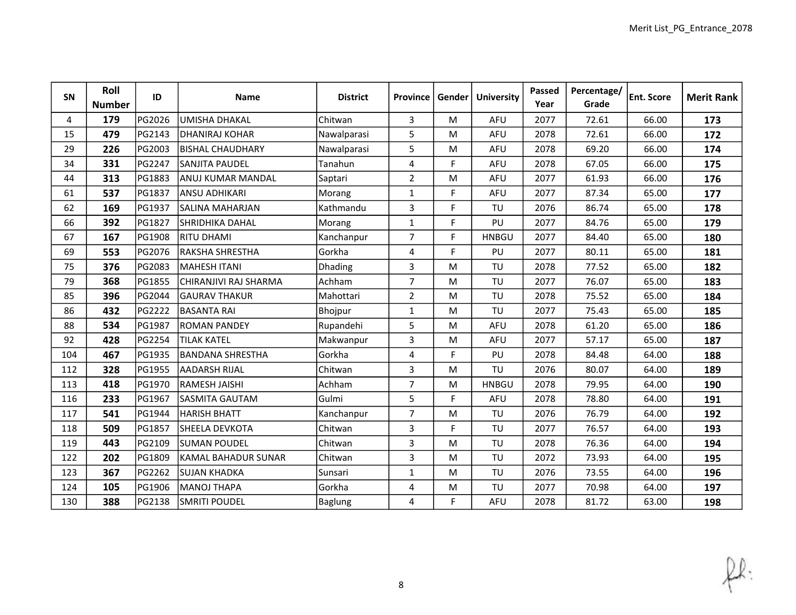| SN  | Roll<br><b>Number</b> | ID     | <b>Name</b>             | <b>District</b> | <b>Province</b> | Gender      | <b>University</b> | Passed<br>Year | Percentage/<br>Grade | Ent. Score | <b>Merit Rank</b> |
|-----|-----------------------|--------|-------------------------|-----------------|-----------------|-------------|-------------------|----------------|----------------------|------------|-------------------|
| 4   | 179                   | PG2026 | <b>UMISHA DHAKAL</b>    | Chitwan         | $\overline{3}$  | M           | AFU               | 2077           | 72.61                | 66.00      | 173               |
| 15  | 479                   | PG2143 | <b>DHANIRAJ KOHAR</b>   | Nawalparasi     | 5               | M           | <b>AFU</b>        | 2078           | 72.61                | 66.00      | 172               |
| 29  | 226                   | PG2003 | BISHAL CHAUDHARY        | Nawalparasi     | 5               | M           | AFU               | 2078           | 69.20                | 66.00      | 174               |
| 34  | 331                   | PG2247 | <b>SANJITA PAUDEL</b>   | Tanahun         | 4               | F           | AFU               | 2078           | 67.05                | 66.00      | 175               |
| 44  | 313                   | PG1883 | ANUJ KUMAR MANDAL       | Saptari         | $\overline{2}$  | M           | <b>AFU</b>        | 2077           | 61.93                | 66.00      | 176               |
| 61  | 537                   | PG1837 | <b>ANSU ADHIKARI</b>    | Morang          | $\mathbf{1}$    | F.          | AFU               | 2077           | 87.34                | 65.00      | 177               |
| 62  | 169                   | PG1937 | <b>SALINA MAHARJAN</b>  | Kathmandu       | 3               | $\mathsf F$ | TU                | 2076           | 86.74                | 65.00      | 178               |
| 66  | 392                   | PG1827 | <b>SHRIDHIKA DAHAL</b>  | Morang          | $\mathbf{1}$    | F.          | PU                | 2077           | 84.76                | 65.00      | 179               |
| 67  | 167                   | PG1908 | RITU DHAMI              | Kanchanpur      | $\overline{7}$  | $\mathsf F$ | <b>HNBGU</b>      | 2077           | 84.40                | 65.00      | 180               |
| 69  | 553                   | PG2076 | <b>RAKSHA SHRESTHA</b>  | Gorkha          | 4               | F.          | PU                | 2077           | 80.11                | 65.00      | 181               |
| 75  | 376                   | PG2083 | <b>MAHESH ITANI</b>     | <b>Dhading</b>  | 3               | M           | TU                | 2078           | 77.52                | 65.00      | 182               |
| 79  | 368                   | PG1855 | CHIRANJIVI RAJ SHARMA   | Achham          | $\overline{7}$  | M           | TU                | 2077           | 76.07                | 65.00      | 183               |
| 85  | 396                   | PG2044 | <b>GAURAV THAKUR</b>    | Mahottari       | $\overline{2}$  | M           | TU                | 2078           | 75.52                | 65.00      | 184               |
| 86  | 432                   | PG2222 | <b>BASANTA RAI</b>      | Bhojpur         | $\mathbf{1}$    | M           | TU                | 2077           | 75.43                | 65.00      | 185               |
| 88  | 534                   | PG1987 | <b>ROMAN PANDEY</b>     | Rupandehi       | 5               | M           | <b>AFU</b>        | 2078           | 61.20                | 65.00      | 186               |
| 92  | 428                   | PG2254 | <b>TILAK KATEL</b>      | Makwanpur       | 3               | M           | AFU               | 2077           | 57.17                | 65.00      | 187               |
| 104 | 467                   | PG1935 | <b>BANDANA SHRESTHA</b> | Gorkha          | 4               | F.          | PU                | 2078           | 84.48                | 64.00      | 188               |
| 112 | 328                   | PG1955 | <b>AADARSH RIJAL</b>    | Chitwan         | 3               | M           | TU                | 2076           | 80.07                | 64.00      | 189               |
| 113 | 418                   | PG1970 | İRAMESH JAISHI          | Achham          | $\overline{7}$  | M           | <b>HNBGU</b>      | 2078           | 79.95                | 64.00      | 190               |
| 116 | 233                   | PG1967 | <b>SASMITA GAUTAM</b>   | Gulmi           | 5               | F.          | AFU               | 2078           | 78.80                | 64.00      | 191               |
| 117 | 541                   | PG1944 | <b>HARISH BHATT</b>     | Kanchanpur      | $\overline{7}$  | M           | TU                | 2076           | 76.79                | 64.00      | 192               |
| 118 | 509                   | PG1857 | <b>SHEELA DEVKOTA</b>   | Chitwan         | 3               | F.          | TU                | 2077           | 76.57                | 64.00      | 193               |
| 119 | 443                   | PG2109 | lsuman poudel           | Chitwan         | 3               | M           | TU                | 2078           | 76.36                | 64.00      | 194               |
| 122 | 202                   | PG1809 | KAMAL BAHADUR SUNAR     | Chitwan         | 3               | M           | TU                | 2072           | 73.93                | 64.00      | 195               |
| 123 | 367                   | PG2262 | <b>SUJAN KHADKA</b>     | Sunsari         | $\mathbf{1}$    | M           | TU                | 2076           | 73.55                | 64.00      | 196               |
| 124 | 105                   | PG1906 | <b>MANOJ THAPA</b>      | Gorkha          | 4               | M           | TU                | 2077           | 70.98                | 64.00      | 197               |
| 130 | 388                   | PG2138 | SMRITI POUDEL           | Baglung         | 4               | F.          | AFU               | 2078           | 81.72                | 63.00      | 198               |